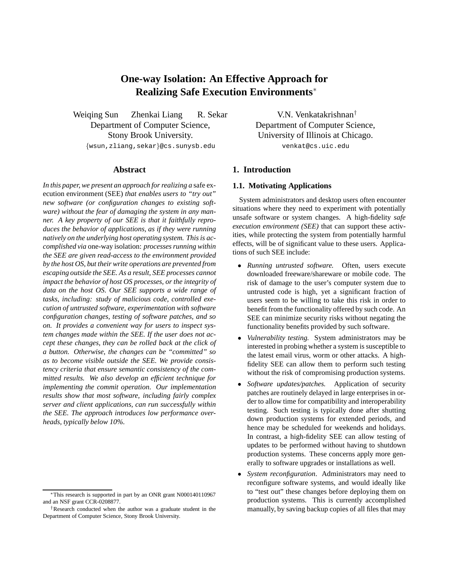# **One-way Isolation: An Effective Approach for Realizing Safe Execution Environments**<sup>∗</sup>

Weiging Sun Zhenkai Liang R. Sekar V.N. Venkatakrishnan<sup>†</sup> Department of Computer Science, Department of Computer Science, {wsun,zliang,sekar}@cs.sunysb.edu venkat@cs.uic.edu

#### **Abstract**

*In this paper, we present an approach for realizing a* safe execution environment (SEE) *that enables users to "try out" new software (or configuration changes to existing software) without the fear of damaging the system in any manner. A key property of our SEE is that it faithfully reproduces the behavior of applications, as if they were running natively on the underlying host operating system. This is accomplished via* one-way isolation: *processes running within the SEE are given read-access to the environment provided by the host OS, but their write operations are prevented from escaping outside the SEE. As a result, SEE processes cannot impact the behavior of host OS processes, or the integrity of data on the host OS. Our SEE supports a wide range of tasks, including: study of malicious code, controlled execution of untrusted software, experimentation with software configuration changes, testing of software patches, and so on. It provides a convenient way for users to inspect system changes made within the SEE. If the user does not accept these changes, they can be rolled back at the click of a button. Otherwise, the changes can be "committed" so as to become visible outside the SEE. We provide consistency criteria that ensure semantic consistency of the committed results. We also develop an efficient technique for implementing the commit operation. Our implementation results show that most software, including fairly complex server and client applications, can run successfully within the SEE. The approach introduces low performance overheads, typically below 10%.*

Stony Brook University. University of Illinois at Chicago.

## **1. Introduction**

## **1.1. Motivating Applications**

System administrators and desktop users often encounter situations where they need to experiment with potentially unsafe software or system changes. A high-fidelity *safe execution environment (SEE)* that can support these activities, while protecting the system from potentially harmful effects, will be of significant value to these users. Applications of such SEE include:

- *Running untrusted software.* Often, users execute downloaded freeware/shareware or mobile code. The risk of damage to the user's computer system due to untrusted code is high, yet a significant fraction of users seem to be willing to take this risk in order to benefit from the functionality offered by such code. An SEE can minimize security risks without negating the functionality benefits provided by such software.
- *Vulnerability testing.* System administrators may be interested in probing whether a system is susceptible to the latest email virus, worm or other attacks. A highfidelity SEE can allow them to perform such testing without the risk of compromising production systems.
- *Software updates/patches.* Application of security patches are routinely delayed in large enterprises in order to allow time for compatibility and interoperability testing. Such testing is typically done after shutting down production systems for extended periods, and hence may be scheduled for weekends and holidays. In contrast, a high-fidelity SEE can allow testing of updates to be performed without having to shutdown production systems. These concerns apply more generally to software upgrades or installations as well.
- *System reconfiguration*. Administrators may need to reconfigure software systems, and would ideally like to "test out" these changes before deploying them on production systems. This is currently accomplished manually, by saving backup copies of all files that may

<sup>∗</sup>This research is supported in part by an ONR grant N000140110967 and an NSF grant CCR-0208877.

<sup>†</sup>Research conducted when the author was a graduate student in the Department of Computer Science, Stony Brook University.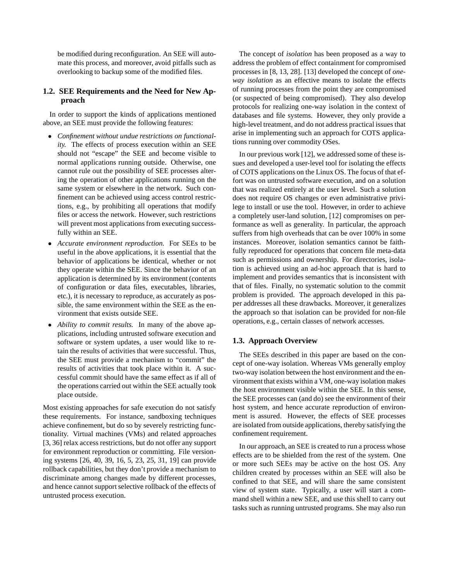be modified during reconfiguration. An SEE will automate this process, and moreover, avoid pitfalls such as overlooking to backup some of the modified files.

#### **1.2. SEE Requirements and the Need for New Approach**

In order to support the kinds of applications mentioned above, an SEE must provide the following features:

- *Confinement without undue restrictions on functionality.* The effects of process execution within an SEE should not "escape" the SEE and become visible to normal applications running outside. Otherwise, one cannot rule out the possibility of SEE processes altering the operation of other applications running on the same system or elsewhere in the network. Such confinement can be achieved using access control restrictions, e.g., by prohibiting all operations that modify files or access the network. However, such restrictions will prevent most applications from executing successfully within an SEE.
- *Accurate environment reproduction.* For SEEs to be useful in the above applications, it is essential that the behavior of applications be identical, whether or not they operate within the SEE. Since the behavior of an application is determined by its environment (contents of configuration or data files, executables, libraries, etc.), it is necessary to reproduce, as accurately as possible, the same environment within the SEE as the environment that exists outside SEE.
- *Ability to commit results.* In many of the above applications, including untrusted software execution and software or system updates, a user would like to retain the results of activities that were successful. Thus, the SEE must provide a mechanism to "commit" the results of activities that took place within it. A successful commit should have the same effect as if all of the operations carried out within the SEE actually took place outside.

Most existing approaches for safe execution do not satisfy these requirements. For instance, sandboxing techniques achieve confinement, but do so by severely restricting functionality. Virtual machines (VMs) and related approaches [3, 36] relax access restrictions, but do not offer any support for environment reproduction or committing. File versioning systems [26, 40, 39, 16, 5, 23, 25, 31, 19] can provide rollback capabilities, but they don't provide a mechanism to discriminate among changes made by different processes, and hence cannot support selective rollback of the effects of untrusted process execution.

The concept of *isolation* has been proposed as a way to address the problem of effect containment for compromised processes in [8, 13, 28]. [13] developed the concept of *oneway isolation* as an effective means to isolate the effects of running processes from the point they are compromised (or suspected of being compromised). They also develop protocols for realizing one-way isolation in the context of databases and file systems. However, they only provide a high-level treatment, and do not address practical issues that arise in implementing such an approach for COTS applications running over commodity OSes.

In our previous work [12], we addressed some of these issues and developed a user-level tool for isolating the effects of COTS applications on the Linux OS. The focus of that effort was on untrusted software execution, and on a solution that was realized entirely at the user level. Such a solution does not require OS changes or even administrative privilege to install or use the tool. However, in order to achieve a completely user-land solution, [12] compromises on performance as well as generality. In particular, the approach suffers from high overheads that can be over 100% in some instances. Moreover, isolation semantics cannot be faithfully reproduced for operations that concern file meta-data such as permissions and ownership. For directories, isolation is achieved using an ad-hoc approach that is hard to implement and provides semantics that is inconsistent with that of files. Finally, no systematic solution to the commit problem is provided. The approach developed in this paper addresses all these drawbacks. Moreover, it generalizes the approach so that isolation can be provided for non-file operations, e.g., certain classes of network accesses.

#### **1.3. Approach Overview**

The SEEs described in this paper are based on the concept of one-way isolation. Whereas VMs generally employ two-way isolation between the host environment and the environment that exists within a VM, one-way isolation makes the host environment visible within the SEE. In this sense, the SEE processes can (and do) see the environment of their host system, and hence accurate reproduction of environment is assured. However, the effects of SEE processes are isolated from outside applications, thereby satisfying the confinement requirement.

In our approach, an SEE is created to run a process whose effects are to be shielded from the rest of the system. One or more such SEEs may be active on the host OS. Any children created by processes within an SEE will also be confined to that SEE, and will share the same consistent view of system state. Typically, a user will start a command shell within a new SEE, and use this shell to carry out tasks such as running untrusted programs. She may also run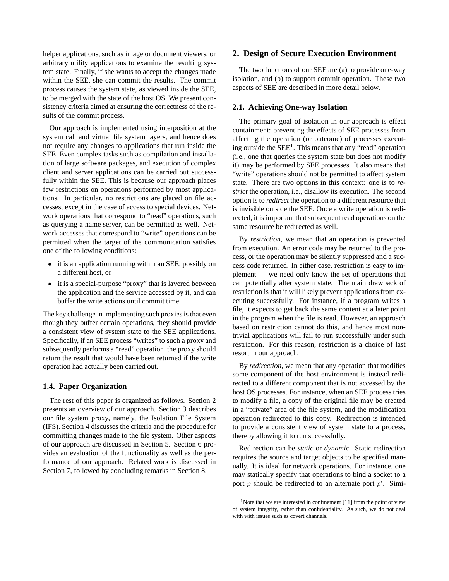helper applications, such as image or document viewers, or arbitrary utility applications to examine the resulting system state. Finally, if she wants to accept the changes made within the SEE, she can commit the results. The commit process causes the system state, as viewed inside the SEE, to be merged with the state of the host OS. We present consistency criteria aimed at ensuring the correctness of the results of the commit process.

Our approach is implemented using interposition at the system call and virtual file system layers, and hence does not require any changes to applications that run inside the SEE. Even complex tasks such as compilation and installation of large software packages, and execution of complex client and server applications can be carried out successfully within the SEE. This is because our approach places few restrictions on operations performed by most applications. In particular, no restrictions are placed on file accesses, except in the case of access to special devices. Network operations that correspond to "read" operations, such as querying a name server, can be permitted as well. Network accesses that correspond to "write" operations can be permitted when the target of the communication satisfies one of the following conditions:

- it is an application running within an SEE, possibly on a different host, or
- it is a special-purpose "proxy" that is layered between the application and the service accessed by it, and can buffer the write actions until commit time.

The key challenge in implementing such proxies is that even though they buffer certain operations, they should provide a consistent view of system state to the SEE applications. Specifically, if an SEE process "writes" to such a proxy and subsequently performs a "read" operation, the proxy should return the result that would have been returned if the write operation had actually been carried out.

#### **1.4. Paper Organization**

The rest of this paper is organized as follows. Section 2 presents an overview of our approach. Section 3 describes our file system proxy, namely, the Isolation File System (IFS). Section 4 discusses the criteria and the procedure for committing changes made to the file system. Other aspects of our approach are discussed in Section 5. Section 6 provides an evaluation of the functionality as well as the performance of our approach. Related work is discussed in Section 7, followed by concluding remarks in Section 8.

## **2. Design of Secure Execution Environment**

The two functions of our SEE are (a) to provide one-way isolation, and (b) to support commit operation. These two aspects of SEE are described in more detail below.

#### **2.1. Achieving One-way Isolation**

The primary goal of isolation in our approach is effect containment: preventing the effects of SEE processes from affecting the operation (or outcome) of processes executing outside the SEE<sup>1</sup>. This means that any "read" operation (i.e., one that queries the system state but does not modify it) may be performed by SEE processes. It also means that "write" operations should not be permitted to affect system state. There are two options in this context: one is to *restrict* the operation, i.e., disallow its execution. The second option is to *redirect* the operation to a different resource that is invisible outside the SEE. Once a write operation is redirected, it is important that subsequent read operations on the same resource be redirected as well.

By *restriction,* we mean that an operation is prevented from execution. An error code may be returned to the process, or the operation may be silently suppressed and a success code returned. In either case, restriction is easy to implement — we need only know the set of operations that can potentially alter system state. The main drawback of restriction is that it will likely prevent applications from executing successfully. For instance, if a program writes a file, it expects to get back the same content at a later point in the program when the file is read. However, an approach based on restriction cannot do this, and hence most nontrivial applications will fail to run successfully under such restriction. For this reason, restriction is a choice of last resort in our approach.

By *redirection,* we mean that any operation that modifies some component of the host environment is instead redirected to a different component that is not accessed by the host OS processes. For instance, when an SEE process tries to modify a file, a copy of the original file may be created in a "private" area of the file system, and the modification operation redirected to this copy. Redirection is intended to provide a consistent view of system state to a process, thereby allowing it to run successfully.

Redirection can be *static* or *dynamic.* Static redirection requires the source and target objects to be specified manually. It is ideal for network operations. For instance, one may statically specify that operations to bind a socket to a port  $p$  should be redirected to an alternate port  $p'$ . Simi-

<sup>&</sup>lt;sup>1</sup>Note that we are interested in confinement  $[11]$  from the point of view of system integrity, rather than confidentiality. As such, we do not deal with with issues such as covert channels.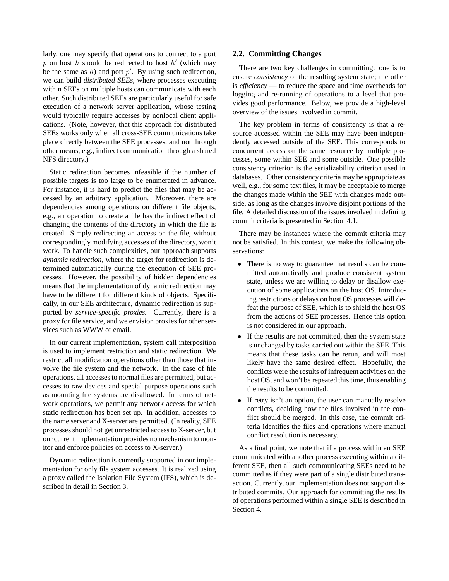larly, one may specify that operations to connect to a port p on host h should be redirected to host  $h'$  (which may be the same as h) and port  $p'$ . By using such redirection, we can build *distributed SEEs*, where processes executing within SEEs on multiple hosts can communicate with each other. Such distributed SEEs are particularly useful for safe execution of a network server application, whose testing would typically require accesses by nonlocal client applications. (Note, however, that this approach for distributed SEEs works only when all cross-SEE communications take place directly between the SEE processes, and not through other means, e.g., indirect communication through a shared NFS directory.)

Static redirection becomes infeasible if the number of possible targets is too large to be enumerated in advance. For instance, it is hard to predict the files that may be accessed by an arbitrary application. Moreover, there are dependencies among operations on different file objects, e.g., an operation to create a file has the indirect effect of changing the contents of the directory in which the file is created. Simply redirecting an access on the file, without correspondingly modifying accesses of the directory, won't work. To handle such complexities, our approach supports *dynamic redirection,* where the target for redirection is determined automatically during the execution of SEE processes. However, the possibility of hidden dependencies means that the implementation of dynamic redirection may have to be different for different kinds of objects. Specifically, in our SEE architecture, dynamic redirection is supported by *service-specific proxies.* Currently, there is a proxy for file service, and we envision proxies for other services such as WWW or email.

In our current implementation, system call interposition is used to implement restriction and static redirection. We restrict all modification operations other than those that involve the file system and the network. In the case of file operations, all accesses to normal files are permitted, but accesses to raw devices and special purpose operations such as mounting file systems are disallowed. In terms of network operations, we permit any network access for which static redirection has been set up. In addition, accesses to the name server and X-server are permitted. (In reality, SEE processes should not get unrestricted access to X-server, but our current implementation provides no mechanism to monitor and enforce policies on access to X-server.)

Dynamic redirection is currently supported in our implementation for only file system accesses. It is realized using a proxy called the Isolation File System (IFS), which is described in detail in Section 3.

#### **2.2. Committing Changes**

There are two key challenges in committing: one is to ensure *consistency* of the resulting system state; the other is *efficiency* — to reduce the space and time overheads for logging and re-running of operations to a level that provides good performance. Below, we provide a high-level overview of the issues involved in commit.

The key problem in terms of consistency is that a resource accessed within the SEE may have been independently accessed outside of the SEE. This corresponds to concurrent access on the same resource by multiple processes, some within SEE and some outside. One possible consistency criterion is the serializability criterion used in databases. Other consistency criteria may be appropriate as well, e.g., for some text files, it may be acceptable to merge the changes made within the SEE with changes made outside, as long as the changes involve disjoint portions of the file. A detailed discussion of the issues involved in defining commit criteria is presented in Section 4.1.

There may be instances where the commit criteria may not be satisfied. In this context, we make the following observations:

- There is no way to guarantee that results can be committed automatically and produce consistent system state, unless we are willing to delay or disallow execution of some applications on the host OS. Introducing restrictions or delays on host OS processes will defeat the purpose of SEE, which is to shield the host OS from the actions of SEE processes. Hence this option is not considered in our approach.
- If the results are not committed, then the system state is unchanged by tasks carried out within the SEE. This means that these tasks can be rerun, and will most likely have the same desired effect. Hopefully, the conflicts were the results of infrequent activities on the host OS, and won't be repeated this time, thus enabling the results to be committed.
- If retry isn't an option, the user can manually resolve conflicts, deciding how the files involved in the conflict should be merged. In this case, the commit criteria identifies the files and operations where manual conflict resolution is necessary.

As a final point, we note that if a process within an SEE communicated with another process executing within a different SEE, then all such communicating SEEs need to be committed as if they were part of a single distributed transaction. Currently, our implementation does not support distributed commits. Our approach for committing the results of operations performed within a single SEE is described in Section 4.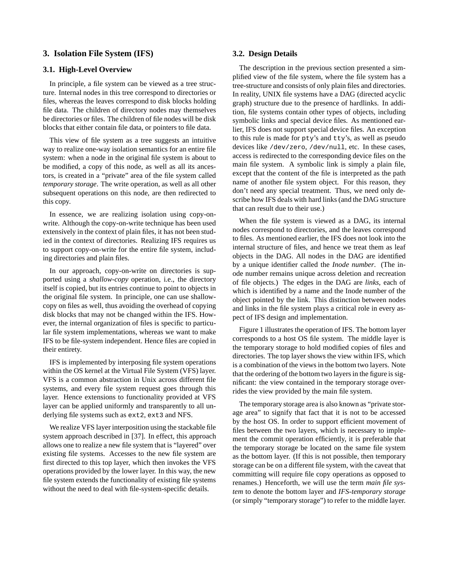#### **3. Isolation File System (IFS)**

#### **3.1. High-Level Overview**

In principle, a file system can be viewed as a tree structure. Internal nodes in this tree correspond to directories or files, whereas the leaves correspond to disk blocks holding file data. The children of directory nodes may themselves be directories or files. The children of file nodes will be disk blocks that either contain file data, or pointers to file data.

This view of file system as a tree suggests an intuitive way to realize one-way isolation semantics for an entire file system: when a node in the original file system is about to be modified, a copy of this node, as well as all its ancestors, is created in a "private" area of the file system called *temporary storage*. The write operation, as well as all other subsequent operations on this node, are then redirected to this copy.

In essence, we are realizing isolation using copy-onwrite. Although the copy-on-write technique has been used extensively in the context of plain files, it has not been studied in the context of directories. Realizing IFS requires us to support copy-on-write for the entire file system, including directories and plain files.

In our approach, copy-on-write on directories is supported using a *shallow-copy* operation, i.e., the directory itself is copied, but its entries continue to point to objects in the original file system. In principle, one can use shallowcopy on files as well, thus avoiding the overhead of copying disk blocks that may not be changed within the IFS. However, the internal organization of files is specific to particular file system implementations, whereas we want to make IFS to be file-system independent. Hence files are copied in their entirety.

IFS is implemented by interposing file system operations within the OS kernel at the Virtual File System (VFS) layer. VFS is a common abstraction in Unix across different file systems, and every file system request goes through this layer. Hence extensions to functionality provided at VFS layer can be applied uniformly and transparently to all underlying file systems such as ext2, ext3 and NFS.

We realize VFS layer interposition using the stackable file system approach described in [37]. In effect, this approach allows one to realize a new file system that is "layered" over existing file systems. Accesses to the new file system are first directed to this top layer, which then invokes the VFS operations provided by the lower layer. In this way, the new file system extends the functionality of existing file systems without the need to deal with file-system-specific details.

#### **3.2. Design Details**

The description in the previous section presented a simplified view of the file system, where the file system has a tree-structure and consists of only plain files and directories. In reality, UNIX file systems have a DAG (directed acyclic graph) structure due to the presence of hardlinks. In addition, file systems contain other types of objects, including symbolic links and special device files. As mentioned earlier, IFS does not support special device files. An exception to this rule is made for pty's and tty's, as well as pseudo devices like /dev/zero, /dev/null, etc. In these cases, access is redirected to the corresponding device files on the main file system. A symbolic link is simply a plain file, except that the content of the file is interpreted as the path name of another file system object. For this reason, they don't need any special treatment. Thus, we need only describe how IFS deals with hard links (and the DAG structure that can result due to their use.)

When the file system is viewed as a DAG, its internal nodes correspond to directories, and the leaves correspond to files. As mentioned earlier, the IFS does not look into the internal structure of files, and hence we treat them as leaf objects in the DAG. All nodes in the DAG are identified by a unique identifier called the *Inode number*. (The inode number remains unique across deletion and recreation of file objects.) The edges in the DAG are *links*, each of which is identified by a name and the Inode number of the object pointed by the link. This distinction between nodes and links in the file system plays a critical role in every aspect of IFS design and implementation.

Figure 1 illustrates the operation of IFS. The bottom layer corresponds to a host OS file system. The middle layer is the temporary storage to hold modified copies of files and directories. The top layer shows the view within IFS, which is a combination of the views in the bottom two layers. Note that the ordering of the bottom two layersin the figure is significant: the view contained in the temporary storage overrides the view provided by the main file system.

The temporary storage area is also known as "private storage area" to signify that fact that it is not to be accessed by the host OS. In order to support efficient movement of files between the two layers, which is necessary to implement the commit operation efficiently, it is preferable that the temporary storage be located on the same file system as the bottom layer. (If this is not possible, then temporary storage can be on a different file system, with the caveat that committing will require file copy operations as opposed to renames.) Henceforth, we will use the term *main file system* to denote the bottom layer and *IFS-temporary storage* (or simply "temporary storage") to refer to the middle layer.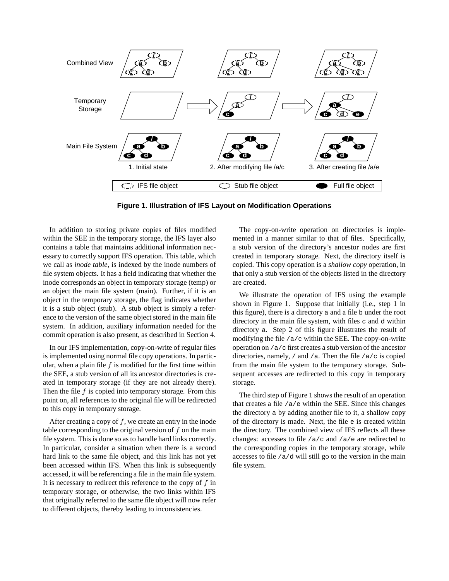

**Figure 1. Illustration of IFS Layout on Modification Operations**

In addition to storing private copies of files modified within the SEE in the temporary storage, the IFS layer also contains a table that maintains additional information necessary to correctly support IFS operation. This table, which we call as *inode table*, is indexed by the inode numbers of file system objects. It has a field indicating that whether the inode corresponds an object in temporary storage (temp) or an object the main file system (main). Further, if it is an object in the temporary storage, the flag indicates whether it is a stub object (stub). A stub object is simply a reference to the version of the same object stored in the main file system. In addition, auxiliary information needed for the commit operation is also present, as described in Section 4.

In our IFS implementation, copy-on-write of regular files is implemented using normal file copy operations. In particular, when a plain file  $f$  is modified for the first time within the SEE, a stub version of all its ancestor directories is created in temporary storage (if they are not already there). Then the file  $f$  is copied into temporary storage. From this point on, all references to the original file will be redirected to this copy in temporary storage.

After creating a copy of  $f$ , we create an entry in the inode table corresponding to the original version of  $f$  on the main file system. This is done so as to handle hard links correctly. In particular, consider a situation when there is a second hard link to the same file object, and this link has not yet been accessed within IFS. When this link is subsequently accessed, it will be referencing a file in the main file system. It is necessary to redirect this reference to the copy of  $f$  in temporary storage, or otherwise, the two links within IFS that originally referred to the same file object will now refer to different objects, thereby leading to inconsistencies.

The copy-on-write operation on directories is implemented in a manner similar to that of files. Specifically, a stub version of the directory's ancestor nodes are first created in temporary storage. Next, the directory itself is copied. This copy operation is a *shallow copy* operation, in that only a stub version of the objects listed in the directory are created.

We illustrate the operation of IFS using the example shown in Figure 1. Suppose that initially (i.e., step 1 in this figure), there is a directory a and a file b under the root directory in the main file system, with files c and d within directory a. Step 2 of this figure illustrates the result of modifying the file  $/a/c$  within the SEE. The copy-on-write operation on /a/c first creates a stub version of the ancestor directories, namely,  $\prime$  and  $\prime$  a. Then the file  $\prime$  a $\prime$  c is copied from the main file system to the temporary storage. Subsequent accesses are redirected to this copy in temporary storage.

The third step of Figure 1 shows the result of an operation that creates a file  $/a/e$  within the SEE. Since this changes the directory a by adding another file to it, a shallow copy of the directory is made. Next, the file e is created within the directory. The combined view of IFS reflects all these changes: accesses to file  $/a/c$  and  $/a/e$  are redirected to the corresponding copies in the temporary storage, while accesses to file  $/a/d$  will still go to the version in the main file system.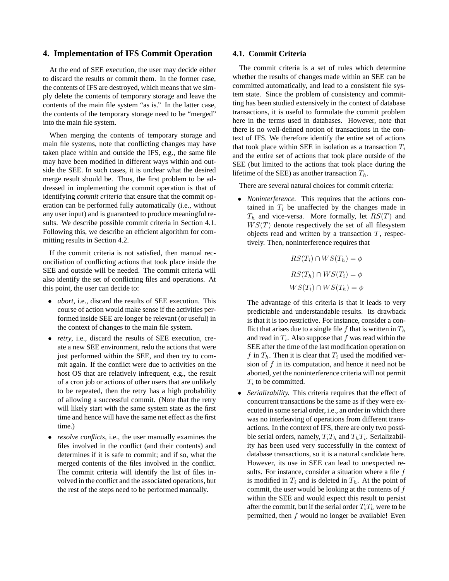#### **4. Implementation of IFS Commit Operation**

At the end of SEE execution, the user may decide either to discard the results or commit them. In the former case, the contents of IFS are destroyed, which means that we simply delete the contents of temporary storage and leave the contents of the main file system "as is." In the latter case, the contents of the temporary storage need to be "merged" into the main file system.

When merging the contents of temporary storage and main file systems, note that conflicting changes may have taken place within and outside the IFS, e.g., the same file may have been modified in different ways within and outside the SEE. In such cases, it is unclear what the desired merge result should be. Thus, the first problem to be addressed in implementing the commit operation is that of identifying *commit criteria* that ensure that the commit operation can be performed fully automatically (i.e., without any user input) and is guaranteed to produce meaningful results. We describe possible commit criteria in Section 4.1. Following this, we describe an efficient algorithm for committing results in Section 4.2.

If the commit criteria is not satisfied, then manual reconciliation of conflicting actions that took place inside the SEE and outside will be needed. The commit criteria will also identify the set of conflicting files and operations. At this point, the user can decide to:

- *abort,* i.e., discard the results of SEE execution. This course of action would make sense if the activities performed inside SEE are longer be relevant (or useful) in the context of changes to the main file system.
- *retry*, i.e., discard the results of SEE execution, create a new SEE environment, redo the actions that were just performed within the SEE, and then try to commit again. If the conflict were due to activities on the host OS that are relatively infrequent, e.g., the result of a cron job or actions of other users that are unlikely to be repeated, then the retry has a high probability of allowing a successful commit. (Note that the retry will likely start with the same system state as the first time and hence will have the same net effect as the first time.)
- *resolve conflicts*, i.e., the user manually examines the files involved in the conflict (and their contents) and determines if it is safe to commit; and if so, what the merged contents of the files involved in the conflict. The commit criteria will identify the list of files involved in the conflict and the associated operations, but the rest of the steps need to be performed manually.

#### **4.1. Commit Criteria**

The commit criteria is a set of rules which determine whether the results of changes made within an SEE can be committed automatically, and lead to a consistent file system state. Since the problem of consistency and committing has been studied extensively in the context of database transactions, it is useful to formulate the commit problem here in the terms used in databases. However, note that there is no well-defined notion of transactions in the context of IFS. We therefore identify the entire set of actions that took place within SEE in isolation as a transaction  $T_i$ and the entire set of actions that took place outside of the SEE (but limited to the actions that took place during the lifetime of the SEE) as another transaction  $T_h$ .

There are several natural choices for commit criteria:

• *Noninterference.* This requires that the actions contained in  $T_i$  be unaffected by the changes made in  $T_h$  and vice-versa. More formally, let  $RS(T)$  and  $WS(T)$  denote respectively the set of all filesystem objects read and written by a transaction  $T$ , respectively. Then, noninterference requires that

> $RS(T_i) \cap WS(T_h) = \phi$  $RS(T_h) \cap WS(T_i) = \phi$  $WS(T_i) \cap WS(T_h) = \phi$

The advantage of this criteria is that it leads to very predictable and understandable results. Its drawback is that it is too restrictive. For instance, consider a conflict that arises due to a single file f that is written in  $T_h$ and read in  $T_i$ . Also suppose that  $f$  was read within the SEE after the time of the last modification operation on f in  $T<sub>h</sub>$ . Then it is clear that  $T<sub>i</sub>$  used the modified version of  $f$  in its computation, and hence it need not be aborted, yet the noninterference criteria will not permit  $T_i$  to be committed.

• *Serializability*. This criteria requires that the effect of concurrent transactions be the same as if they were executed in some serial order, i.e., an order in which there was no interleaving of operations from different transactions. In the context of IFS, there are only two possible serial orders, namely,  $T_iT_h$  and  $T_hT_i$ . Serializability has been used very successfully in the context of database transactions, so it is a natural candidate here. However, its use in SEE can lead to unexpected results. For instance, consider a situation where a file  $f$ is modified in  $T_i$  and is deleted in  $T_h$ . At the point of commit, the user would be looking at the contents of  $f$ within the SEE and would expect this result to persist after the commit, but if the serial order  $T_iT_h$  were to be permitted, then  $f$  would no longer be available! Even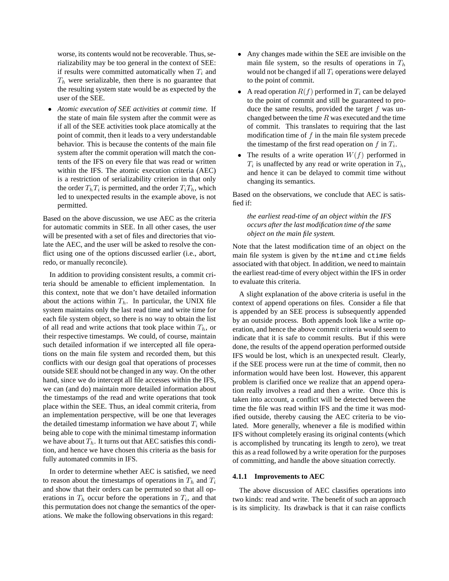worse, its contents would not be recoverable. Thus, serializability may be too general in the context of SEE: if results were committed automatically when  $T_i$  and  $T<sub>h</sub>$  were serializable, then there is no guarantee that the resulting system state would be as expected by the user of the SEE.

• *Atomic execution of SEE activities at commit time.* If the state of main file system after the commit were as if all of the SEE activities took place atomically at the point of commit, then it leads to a very understandable behavior. This is because the contents of the main file system after the commit operation will match the contents of the IFS on every file that was read or written within the IFS. The atomic execution criteria (AEC) is a restriction of serializability criterion in that only the order  $T_h T_i$  is permitted, and the order  $T_i T_h$ , which led to unexpected results in the example above, is not permitted.

Based on the above discussion, we use AEC as the criteria for automatic commits in SEE. In all other cases, the user will be presented with a set of files and directories that violate the AEC, and the user will be asked to resolve the conflict using one of the options discussed earlier (i.e., abort, redo, or manually reconcile).

In addition to providing consistent results, a commit criteria should be amenable to efficient implementation. In this context, note that we don't have detailed information about the actions within  $T<sub>h</sub>$ . In particular, the UNIX file system maintains only the last read time and write time for each file system object, so there is no way to obtain the list of all read and write actions that took place within  $T<sub>h</sub>$ , or their respective timestamps. We could, of course, maintain such detailed information if we intercepted all file operations on the main file system and recorded them, but this conflicts with our design goal that operations of processes outside SEE should not be changed in any way. On the other hand, since we do intercept all file accesses within the IFS, we can (and do) maintain more detailed information about the timestamps of the read and write operations that took place within the SEE. Thus, an ideal commit criteria, from an implementation perspective, will be one that leverages the detailed timestamp information we have about  $T_i$  while being able to cope with the minimal timestamp information we have about  $T_h$ . It turns out that AEC satisfies this condition, and hence we have chosen this criteria as the basis for fully automated commits in IFS.

In order to determine whether AEC is satisfied, we need to reason about the timestamps of operations in  $T_h$  and  $T_i$ and show that their orders can be permuted so that all operations in  $T<sub>h</sub>$  occur before the operations in  $T<sub>i</sub>$ , and that this permutation does not change the semantics of the operations. We make the following observations in this regard:

- Any changes made within the SEE are invisible on the main file system, so the results of operations in  $T<sub>h</sub>$ would not be changed if all  $T_i$  operations were delayed to the point of commit.
- A read operation  $R(f)$  performed in  $T_i$  can be delayed to the point of commit and still be guaranteed to produce the same results, provided the target  $f$  was unchanged between the time  $R$  was executed and the time of commit. This translates to requiring that the last modification time of  $f$  in the main file system precede the timestamp of the first read operation on  $f$  in  $T_i$ .
- The results of a write operation  $W(f)$  performed in  $T_i$  is unaffected by any read or write operation in  $T_h$ , and hence it can be delayed to commit time without changing its semantics.

Based on the observations, we conclude that AEC is satisfied if:

*the earliest read-time of an object within the IFS occurs after the last modification time of the same object on the main file system.*

Note that the latest modification time of an object on the main file system is given by the mtime and ctime fields associated with that object. In addition, we need to maintain the earliest read-time of every object within the IFS in order to evaluate this criteria.

A slight explanation of the above criteria is useful in the context of append operations on files. Consider a file that is appended by an SEE process is subsequently appended by an outside process. Both appends look like a write operation, and hence the above commit criteria would seem to indicate that it is safe to commit results. But if this were done, the results of the append operation performed outside IFS would be lost, which is an unexpected result. Clearly, if the SEE process were run at the time of commit, then no information would have been lost. However, this apparent problem is clarified once we realize that an append operation really involves a read and then a write. Once this is taken into account, a conflict will be detected between the time the file was read within IFS and the time it was modified outside, thereby causing the AEC criteria to be violated. More generally, whenever a file is modified within IFS without completely erasing its original contents (which is accomplished by truncating its length to zero), we treat this as a read followed by a write operation for the purposes of committing, and handle the above situation correctly.

#### **4.1.1 Improvements to AEC**

The above discussion of AEC classifies operations into two kinds: read and write. The benefit of such an approach is its simplicity. Its drawback is that it can raise conflicts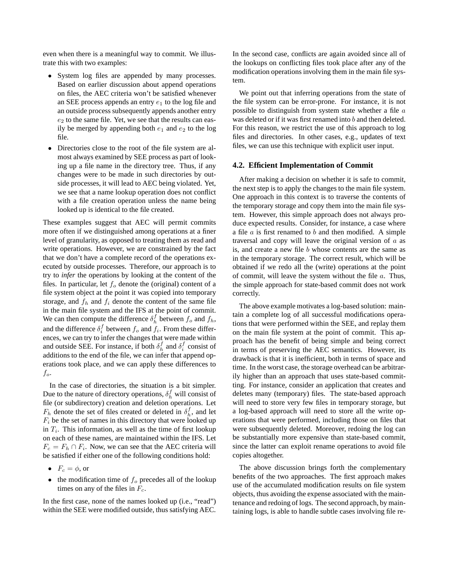even when there is a meaningful way to commit. We illustrate this with two examples:

- System log files are appended by many processes. Based on earlier discussion about append operations on files, the AEC criteria won't be satisfied whenever an SEE process appends an entry  $e_1$  to the log file and an outside process subsequently appends another entry  $e_2$  to the same file. Yet, we see that the results can easily be merged by appending both  $e_1$  and  $e_2$  to the log file.
- Directories close to the root of the file system are almost always examined by SEE process as part of looking up a file name in the directory tree. Thus, if any changes were to be made in such directories by outside processes, it will lead to AEC being violated. Yet, we see that a name lookup operation does not conflict with a file creation operation unless the name being looked up is identical to the file created.

These examples suggest that AEC will permit commits more often if we distinguished among operations at a finer level of granularity, as opposed to treating them as read and write operations. However, we are constrained by the fact that we don't have a complete record of the operations executed by outside processes. Therefore, our approach is to try to *infer* the operations by looking at the content of the files. In particular, let  $f<sub>o</sub>$  denote the (original) content of a file system object at the point it was copied into temporary storage, and  $f_h$  and  $f_i$  denote the content of the same file in the main file system and the IFS at the point of commit. We can then compute the difference  $\delta_h^f$  between  $f_o$  and  $f_h$ , and the difference  $\delta_i^f$  between  $f_o$  and  $f_i$ . From these differences, we can try to infer the changes that were made within and outside SEE. For instance, if both  $\delta_h^f$  and  $\delta_i^f$  consist of additions to the end of the file, we can infer that append operations took place, and we can apply these differences to  $f_{o}$ .

In the case of directories, the situation is a bit simpler. Due to the nature of directory operations,  $\delta_h^f$  will consist of file (or subdirectory) creation and deletion operations. Let  $F_h$  denote the set of files created or deleted in  $\delta_h^f$ , and let  $F_i$  be the set of names in this directory that were looked up in  $T_i$ . This information, as well as the time of first lookup on each of these names, are maintained within the IFS. Let  $F_c = F_h \cap F_i$ . Now, we can see that the AEC criteria will be satisfied if either one of the following conditions hold:

- $F_c = \phi$ , or
- the modification time of  $f<sub>o</sub>$  precedes all of the lookup times on any of the files in  $F_c$ .

In the first case, none of the names looked up (i.e., "read") within the SEE were modified outside, thus satisfying AEC.

In the second case, conflicts are again avoided since all of the lookups on conflicting files took place after any of the modification operations involving them in the main file system.

We point out that inferring operations from the state of the file system can be error-prone. For instance, it is not possible to distinguish from system state whether a file a was deleted or if it was first renamed into b and then deleted. For this reason, we restrict the use of this approach to log files and directories. In other cases, e.g., updates of text files, we can use this technique with explicit user input.

#### **4.2. Efficient Implementation of Commit**

After making a decision on whether it is safe to commit, the next step is to apply the changes to the main file system. One approach in this context is to traverse the contents of the temporary storage and copy them into the main file system. However, this simple approach does not always produce expected results. Consider, for instance, a case where a file  $a$  is first renamed to  $b$  and then modified. A simple traversal and copy will leave the original version of  $a$  as is, and create a new file  $b$  whose contents are the same as in the temporary storage. The correct result, which will be obtained if we redo all the (write) operations at the point of commit, will leave the system without the file a. Thus, the simple approach for state-based commit does not work correctly.

The above example motivates a log-based solution: maintain a complete log of all successful modifications operations that were performed within the SEE, and replay them on the main file system at the point of commit. This approach has the benefit of being simple and being correct in terms of preserving the AEC semantics. However, its drawback is that it is inefficient, both in terms of space and time. In the worst case, the storage overhead can be arbitrarily higher than an approach that uses state-based committing. For instance, consider an application that creates and deletes many (temporary) files. The state-based approach will need to store very few files in temporary storage, but a log-based approach will need to store all the write operations that were performed, including those on files that were subsequently deleted. Moreover, redoing the log can be substantially more expensive than state-based commit, since the latter can exploit rename operations to avoid file copies altogether.

The above discussion brings forth the complementary benefits of the two approaches. The first approach makes use of the accumulated modification results on file system objects, thus avoiding the expense associated with the maintenance and redoing of logs. The second approach, by maintaining logs, is able to handle subtle cases involving file re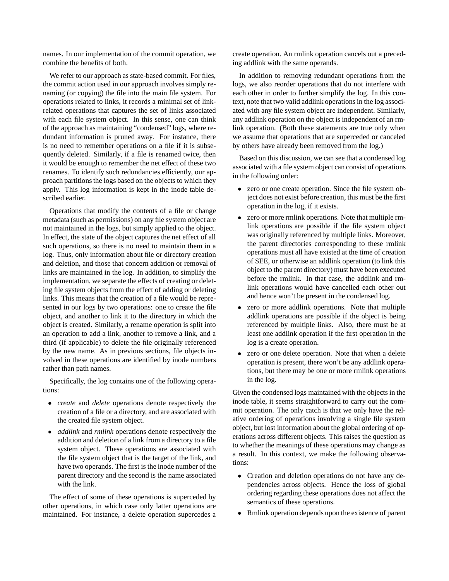names. In our implementation of the commit operation, we combine the benefits of both.

We refer to our approach as state-based commit. For files, the commit action used in our approach involves simply renaming (or copying) the file into the main file system. For operations related to links, it records a minimal set of linkrelated operations that captures the set of links associated with each file system object. In this sense, one can think of the approach as maintaining "condensed" logs, where redundant information is pruned away. For instance, there is no need to remember operations on a file if it is subsequently deleted. Similarly, if a file is renamed twice, then it would be enough to remember the net effect of these two renames. To identify such redundancies efficiently, our approach partitions the logs based on the objects to which they apply. This log information is kept in the inode table described earlier.

Operations that modify the contents of a file or change metadata (such as permissions) on any file system object are not maintained in the logs, but simply applied to the object. In effect, the state of the object captures the net effect of all such operations, so there is no need to maintain them in a log. Thus, only information about file or directory creation and deletion, and those that concern addition or removal of links are maintained in the log. In addition, to simplify the implementation, we separate the effects of creating or deleting file system objects from the effect of adding or deleting links. This means that the creation of a file would be represented in our logs by two operations: one to create the file object, and another to link it to the directory in which the object is created. Similarly, a rename operation is split into an operation to add a link, another to remove a link, and a third (if applicable) to delete the file originally referenced by the new name. As in previous sections, file objects involved in these operations are identified by inode numbers rather than path names.

Specifically, the log contains one of the following operations:

- *create* and *delete* operations denote respectively the creation of a file or a directory, and are associated with the created file system object.
- *addlink* and *rmlink* operations denote respectively the addition and deletion of a link from a directory to a file system object. These operations are associated with the file system object that is the target of the link, and have two operands. The first is the inode number of the parent directory and the second is the name associated with the link.

The effect of some of these operations is superceded by other operations, in which case only latter operations are maintained. For instance, a delete operation supercedes a

create operation. An rmlink operation cancels out a preceding addlink with the same operands.

In addition to removing redundant operations from the logs, we also reorder operations that do not interfere with each other in order to further simplify the log. In this context, note that two valid addlink operations in the log associated with any file system object are independent. Similarly, any addlink operation on the object is independent of an rmlink operation. (Both these statements are true only when we assume that operations that are superceded or canceled by others have already been removed from the log.)

Based on this discussion, we can see that a condensed log associated with a file system object can consist of operations in the following order:

- zero or one create operation. Since the file system object does not exist before creation, this must be the first operation in the log, if it exists.
- zero or more rmlink operations. Note that multiple rmlink operations are possible if the file system object was originally referenced by multiple links. Moreover, the parent directories corresponding to these rmlink operations must all have existed at the time of creation of SEE, or otherwise an addlink operation (to link this object to the parent directory) must have been executed before the rmlink. In that case, the addlink and rmlink operations would have cancelled each other out and hence won't be present in the condensed log.
- zero or more addlink operations. Note that multiple addlink operations are possible if the object is being referenced by multiple links. Also, there must be at least one addlink operation if the first operation in the log is a create operation.
- zero or one delete operation. Note that when a delete operation is present, there won't be any addlink operations, but there may be one or more rmlink operations in the log.

Given the condensed logs maintained with the objects in the inode table, it seems straightforward to carry out the commit operation. The only catch is that we only have the relative ordering of operations involving a single file system object, but lost information about the global ordering of operations across different objects. This raises the question as to whether the meanings of these operations may change as a result. In this context, we make the following observations:

- Creation and deletion operations do not have any dependencies across objects. Hence the loss of global ordering regarding these operations does not affect the semantics of these operations.
- Rmlink operation depends upon the existence of parent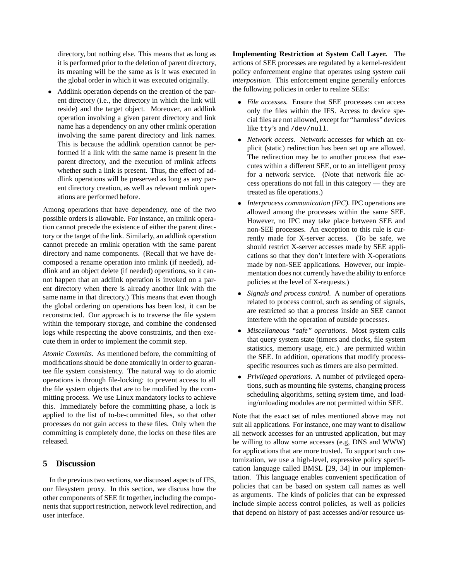directory, but nothing else. This means that as long as it is performed prior to the deletion of parent directory, its meaning will be the same as is it was executed in the global order in which it was executed originally.

• Addlink operation depends on the creation of the parent directory (i.e., the directory in which the link will reside) and the target object. Moreover, an addlink operation involving a given parent directory and link name has a dependency on any other rmlink operation involving the same parent directory and link names. This is because the addlink operation cannot be performed if a link with the same name is present in the parent directory, and the execution of rmlink affects whether such a link is present. Thus, the effect of addlink operations will be preserved as long as any parent directory creation, as well as relevant rmlink operations are performed before.

Among operations that have dependency, one of the two possible orders is allowable. For instance, an rmlink operation cannot precede the existence of either the parent directory or the target of the link. Similarly, an addlink operation cannot precede an rmlink operation with the same parent directory and name components. (Recall that we have decomposed a rename operation into rmlink (if needed), addlink and an object delete (if needed) operations, so it cannot happen that an addlink operation is invoked on a parent directory when there is already another link with the same name in that directory.) This means that even though the global ordering on operations has been lost, it can be reconstructed. Our approach is to traverse the file system within the temporary storage, and combine the condensed logs while respecting the above constraints, and then execute them in order to implement the commit step.

*Atomic Commits.* As mentioned before, the committing of modifications should be done atomically in order to guarantee file system consistency. The natural way to do atomic operations is through file-locking: to prevent access to all the file system objects that are to be modified by the committing process. We use Linux mandatory locks to achieve this. Immediately before the committing phase, a lock is applied to the list of to-be-committed files, so that other processes do not gain access to these files. Only when the committing is completely done, the locks on these files are released.

# **5 Discussion**

In the previous two sections, we discussed aspects of IFS, our filesystem proxy. In this section, we discuss how the other components of SEE fit together, including the components that support restriction, network level redirection, and user interface.

**Implementing Restriction at System Call Layer.** The actions of SEE processes are regulated by a kernel-resident policy enforcement engine that operates using *system call interposition*. This enforcement engine generally enforces the following policies in order to realize SEEs:

- *File accesses.* Ensure that SEE processes can access only the files within the IFS. Access to device special files are not allowed, except for "harmless" devices like tty's and /dev/null.
- *Network access.* Network accesses for which an explicit (static) redirection has been set up are allowed. The redirection may be to another process that executes within a different SEE, or to an intelligent proxy for a network service. (Note that network file access operations do not fall in this category — they are treated as file operations.)
- *Interprocess communication (IPC).* IPC operations are allowed among the processes within the same SEE. However, no IPC may take place between SEE and non-SEE processes. An exception to this rule is currently made for X-server access. (To be safe, we should restrict X-server accesses made by SEE applications so that they don't interfere with X-operations made by non-SEE applications. However, our implementation does not currently have the ability to enforce policies at the level of X-requests.)
- *Signals and process control.* A number of operations related to process control, such as sending of signals, are restricted so that a process inside an SEE cannot interfere with the operation of outside processes.
- *Miscellaneous "safe" operations.* Most system calls that query system state (timers and clocks, file system statistics, memory usage, etc.) are permitted within the SEE. In addition, operations that modify processspecific resources such as timers are also permitted.
- *Privileged operations.* A number of privileged operations, such as mounting file systems, changing process scheduling algorithms, setting system time, and loading/unloading modules are not permitted within SEE.

Note that the exact set of rules mentioned above may not suit all applications. For instance, one may want to disallow all network accesses for an untrusted application, but may be willing to allow some accesses (e.g, DNS and WWW) for applications that are more trusted. To support such customization, we use a high-level, expressive policy specification language called BMSL [29, 34] in our implementation. This language enables convenient specification of policies that can be based on system call names as well as arguments. The kinds of policies that can be expressed include simple access control policies, as well as policies that depend on history of past accesses and/or resource us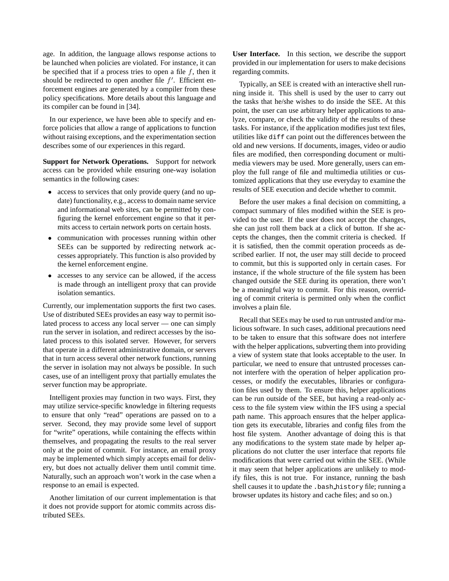age. In addition, the language allows response actions to be launched when policies are violated. For instance, it can be specified that if a process tries to open a file  $f$ , then it should be redirected to open another file  $f'$ . Efficient enforcement engines are generated by a compiler from these policy specifications. More details about this language and its compiler can be found in [34].

In our experience, we have been able to specify and enforce policies that allow a range of applications to function without raising exceptions, and the experimentation section describes some of our experiences in this regard.

**Support for Network Operations.** Support for network access can be provided while ensuring one-way isolation semantics in the following cases:

- access to services that only provide query (and no update) functionality, e.g., access to domain name service and informational web sites, can be permitted by configuring the kernel enforcement engine so that it permits access to certain network ports on certain hosts.
- communication with processes running within other SEEs can be supported by redirecting network accesses appropriately. This function is also provided by the kernel enforcement engine.
- accesses to any service can be allowed, if the access is made through an intelligent proxy that can provide isolation semantics.

Currently, our implementation supports the first two cases. Use of distributed SEEs provides an easy way to permit isolated process to access any local server — one can simply run the server in isolation, and redirect accesses by the isolated process to this isolated server. However, for servers that operate in a different administrative domain, or servers that in turn access several other network functions, running the server in isolation may not always be possible. In such cases, use of an intelligent proxy that partially emulates the server function may be appropriate.

Intelligent proxies may function in two ways. First, they may utilize service-specific knowledge in filtering requests to ensure that only "read" operations are passed on to a server. Second, they may provide some level of support for "write" operations, while containing the effects within themselves, and propagating the results to the real server only at the point of commit. For instance, an email proxy may be implemented which simply accepts email for delivery, but does not actually deliver them until commit time. Naturally, such an approach won't work in the case when a response to an email is expected.

Another limitation of our current implementation is that it does not provide support for atomic commits across distributed SEEs.

**User Interface.** In this section, we describe the support provided in our implementation for users to make decisions regarding commits.

Typically, an SEE is created with an interactive shell running inside it. This shell is used by the user to carry out the tasks that he/she wishes to do inside the SEE. At this point, the user can use arbitrary helper applications to analyze, compare, or check the validity of the results of these tasks. For instance, if the application modifies just text files, utilities like diff can point out the differences between the old and new versions. If documents, images, video or audio files are modified, then corresponding document or multimedia viewers may be used. More generally, users can employ the full range of file and multimedia utilities or customized applications that they use everyday to examine the results of SEE execution and decide whether to commit.

Before the user makes a final decision on committing, a compact summary of files modified within the SEE is provided to the user. If the user does not accept the changes, she can just roll them back at a click of button. If she accepts the changes, then the commit criteria is checked. If it is satisfied, then the commit operation proceeds as described earlier. If not, the user may still decide to proceed to commit, but this is supported only in certain cases. For instance, if the whole structure of the file system has been changed outside the SEE during its operation, there won't be a meaningful way to commit. For this reason, overriding of commit criteria is permitted only when the conflict involves a plain file.

Recall that SEEs may be used to run untrusted and/or malicious software. In such cases, additional precautions need to be taken to ensure that this software does not interfere with the helper applications, subverting them into providing a view of system state that looks acceptable to the user. In particular, we need to ensure that untrusted processes cannot interfere with the operation of helper application processes, or modify the executables, libraries or configuration files used by them. To ensure this, helper applications can be run outside of the SEE, but having a read-only access to the file system view within the IFS using a special path name. This approach ensures that the helper application gets its executable, libraries and config files from the host file system. Another advantage of doing this is that any modifications to the system state made by helper applications do not clutter the user interface that reports file modifications that were carried out within the SEE. (While it may seem that helper applications are unlikely to modify files, this is not true. For instance, running the bash shell causes it to update the .bash history file; running a browser updates its history and cache files; and so on.)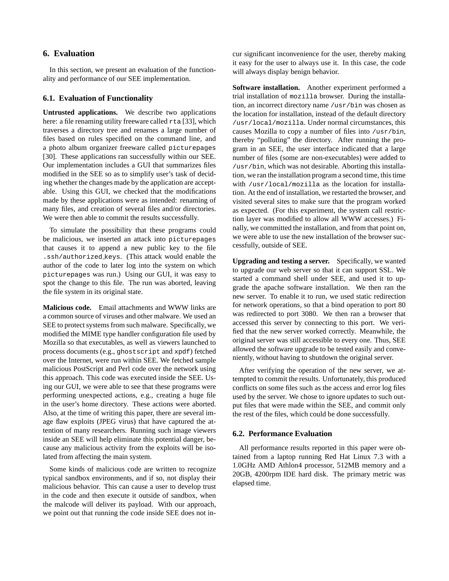# **6. Evaluation**

In this section, we present an evaluation of the functionality and performance of our SEE implementation.

## **6.1. Evaluation of Functionality**

**Untrusted applications.** We describe two applications here: a file renaming utility freeware called rta [33], which traverses a directory tree and renames a large number of files based on rules specified on the command line, and a photo album organizer freeware called picturepages [30]. These applications ran successfully within our SEE. Our implementation includes a GUI that summarizes files modified in the SEE so as to simplify user's task of deciding whether the changes made by the application are acceptable. Using this GUI, we checked that the modifications made by these applications were as intended: renaming of many files, and creation of several files and/or directories. We were then able to commit the results successfully.

To simulate the possibility that these programs could be malicious, we inserted an attack into picturepages that causes it to append a new public key to the file .ssh/authorized keys. (This attack would enable the author of the code to later log into the system on which picturepages was run.) Using our GUI, it was easy to spot the change to this file. The run was aborted, leaving the file system in its original state.

**Malicious code.** Email attachments and WWW links are a common source of viruses and other malware. We used an SEE to protect systems from such malware. Specifically, we modified the MIME type handler configuration file used by Mozilla so that executables, as well as viewers launched to process documents (e.g., ghostscript and xpdf) fetched over the Internet, were run within SEE. We fetched sample malicious PostScript and Perl code over the network using this approach. This code was executed inside the SEE. Using our GUI, we were able to see that these programs were performing unexpected actions, e.g., creating a huge file in the user's home directory. These actions were aborted. Also, at the time of writing this paper, there are several image flaw exploits (JPEG virus) that have captured the attention of many researchers. Running such image viewers inside an SEE will help eliminate this potential danger, because any malicious activity from the exploits will be isolated from affecting the main system.

Some kinds of malicious code are written to recognize typical sandbox environments, and if so, not display their malicious behavior. This can cause a user to develop trust in the code and then execute it outside of sandbox, when the malcode will deliver its payload. With our approach, we point out that running the code inside SEE does not incur significant inconvenience for the user, thereby making it easy for the user to always use it. In this case, the code will always display benign behavior.

**Software installation.** Another experiment performed a trial installation of mozilla browser. During the installation, an incorrect directory name /usr/bin was chosen as the location for installation, instead of the default directory /usr/local/mozilla. Under normal circumstances, this causes Mozilla to copy a number of files into /usr/bin, thereby "polluting" the directory. After running the program in an SEE, the user interface indicated that a large number of files (some are non-executables) were added to /usr/bin, which was not desirable. Aborting this installation, we ran the installation program a second time, this time with /usr/local/mozilla as the location for installation. At the end of installation, we restarted the browser, and visited several sites to make sure that the program worked as expected. (For this experiment, the system call restriction layer was modified to allow all WWW accesses.) Finally, we committed the installation, and from that point on, we were able to use the new installation of the browser successfully, outside of SEE.

**Upgrading and testing a server.** Specifically, we wanted to upgrade our web server so that it can support SSL. We started a command shell under SEE, and used it to upgrade the apache software installation. We then ran the new server. To enable it to run, we used static redirection for network operations, so that a bind operation to port 80 was redirected to port 3080. We then ran a browser that accessed this server by connecting to this port. We verified that the new server worked correctly. Meanwhile, the original server was still accessible to every one. Thus, SEE allowed the software upgrade to be tested easily and conveniently, without having to shutdown the original server.

After verifying the operation of the new server, we attempted to commit the results. Unfortunately, this produced conflicts on some files such as the access and error log files used by the server. We chose to ignore updates to such output files that were made within the SEE, and commit only the rest of the files, which could be done successfully.

#### **6.2. Performance Evaluation**

All performance results reported in this paper were obtained from a laptop running Red Hat Linux 7.3 with a 1.0GHz AMD Athlon4 processor, 512MB memory and a 20GB, 4200rpm IDE hard disk. The primary metric was elapsed time.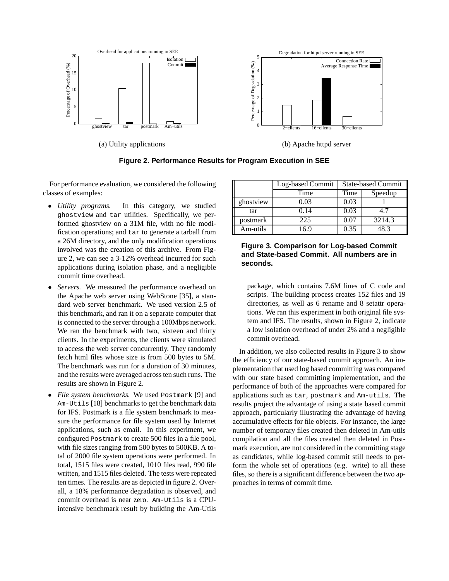

**Figure 2. Performance Results for Program Execution in SEE**

For performance evaluation, we considered the following classes of examples:

- *Utility programs.* In this category, we studied ghostview and tar utilities. Specifically, we performed ghostview on a 31M file, with no file modification operations; and tar to generate a tarball from a 26M directory, and the only modification operations involved was the creation of this archive. From Figure 2, we can see a 3-12% overhead incurred for such applications during isolation phase, and a negligible commit time overhead.
- Servers. We measured the performance overhead on the Apache web server using WebStone [35], a standard web server benchmark. We used version 2.5 of this benchmark, and ran it on a separate computer that is connected to the server through a 100Mbps network. We ran the benchmark with two, sixteen and thirty clients. In the experiments, the clients were simulated to access the web server concurrently. They randomly fetch html files whose size is from 500 bytes to 5M. The benchmark was run for a duration of 30 minutes, and the results were averaged across ten such runs. The results are shown in Figure 2.
- *File system benchmarks.* We used Postmark [9] and Am-Utils [18] benchmarksto get the benchmark data for IFS. Postmark is a file system benchmark to measure the performance for file system used by Internet applications, such as email. In this experiment, we configured Postmark to create 500 files in a file pool, with file sizes ranging from 500 bytes to 500KB. A total of 2000 file system operations were performed. In total, 1515 files were created, 1010 files read, 990 file written, and 1515 files deleted. The tests were repeated ten times. The results are as depicted in figure 2. Overall, a 18% performance degradation is observed, and commit overhead is near zero. Am-Utils is a CPUintensive benchmark result by building the Am-Utils

|           | Log-based Commit | <b>State-based Commit</b> |         |
|-----------|------------------|---------------------------|---------|
|           | Time             | Time                      | Speedup |
| ghostview | 0.03             | 0.03                      |         |
| tar       | 0.14             | 0.03                      | 4.7     |
| postmark  | 225              | 0.07                      | 3214.3  |
| Am-utils  | 16.9             | 0.35                      | 48 3    |

## **Figure 3. Comparison for Log-based Commit and State-based Commit. All numbers are in seconds.**

package, which contains 7.6M lines of C code and scripts. The building process creates 152 files and 19 directories, as well as 6 rename and 8 setattr operations. We ran this experiment in both original file system and IFS. The results, shown in Figure 2, indicate a low isolation overhead of under 2% and a negligible commit overhead.

In addition, we also collected results in Figure 3 to show the efficiency of our state-based commit approach. An implementation that used log based committing was compared with our state based committing implementation, and the performance of both of the approaches were compared for applications such as tar, postmark and Am-utils. The results project the advantage of using a state based commit approach, particularly illustrating the advantage of having accumulative effects for file objects. For instance, the large number of temporary files created then deleted in Am-utils compilation and all the files created then deleted in Postmark execution, are not considered in the committing stage as candidates, while log-based commit still needs to perform the whole set of operations (e.g. write) to all these files, so there is a significant difference between the two approaches in terms of commit time.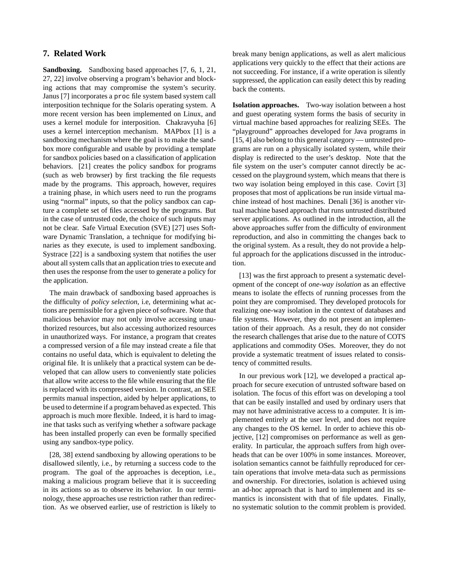# **7. Related Work**

**Sandboxing.** Sandboxing based approaches [7, 6, 1, 21, 27, 22] involve observing a program's behavior and blocking actions that may compromise the system's security. Janus [7] incorporates a proc file system based system call interposition technique for the Solaris operating system. A more recent version has been implemented on Linux, and uses a kernel module for interposition. Chakravyuha [6] uses a kernel interception mechanism. MAPbox [1] is a sandboxing mechanism where the goal is to make the sandbox more configurable and usable by providing a template for sandbox policies based on a classification of application behaviors. [21] creates the policy sandbox for programs (such as web browser) by first tracking the file requests made by the programs. This approach, however, requires a training phase, in which users need to run the programs using "normal" inputs, so that the policy sandbox can capture a complete set of files accessed by the programs. But in the case of untrusted code, the choice of such inputs may not be clear. Safe Virtual Execution (SVE) [27] uses Software Dynamic Translation, a technique for modifying binaries as they execute, is used to implement sandboxing. Systrace [22] is a sandboxing system that notifies the user about all system calls that an application tries to execute and then uses the response from the user to generate a policy for the application.

The main drawback of sandboxing based approaches is the difficulty of *policy selection*, i.e, determining what actions are permissible for a given piece of software. Note that malicious behavior may not only involve accessing unauthorized resources, but also accessing authorized resources in unauthorized ways. For instance, a program that creates a compressed version of a file may instead create a file that contains no useful data, which is equivalent to deleting the original file. It is unlikely that a practical system can be developed that can allow users to conveniently state policies that allow write access to the file while ensuring that the file is replaced with its compressed version. In contrast, an SEE permits manual inspection, aided by helper applications, to be used to determine if a program behaved as expected. This approach is much more flexible. Indeed, it is hard to imagine that tasks such as verifying whether a software package has been installed properly can even be formally specified using any sandbox-type policy.

[28, 38] extend sandboxing by allowing operations to be disallowed silently, i.e., by returning a success code to the program. The goal of the approaches is deception, i.e., making a malicious program believe that it is succeeding in its actions so as to observe its behavior. In our terminology, these approaches use restriction rather than redirection. As we observed earlier, use of restriction is likely to

break many benign applications, as well as alert malicious applications very quickly to the effect that their actions are not succeeding. For instance, if a write operation is silently suppressed, the application can easily detect this by reading back the contents.

**Isolation approaches.** Two-way isolation between a host and guest operating system forms the basis of security in virtual machine based approaches for realizing SEEs. The "playground" approaches developed for Java programs in [15, 4] also belong to this general category — untrusted programs are run on a physically isolated system, while their display is redirected to the user's desktop. Note that the file system on the user's computer cannot directly be accessed on the playground system, which means that there is two way isolation being employed in this case. Covirt [3] proposes that most of applications be run inside virtual machine instead of host machines. Denali [36] is another virtual machine based approach that runs untrusted distributed server applications. As outlined in the introduction, all the above approaches suffer from the difficulty of environment reproduction, and also in committing the changes back to the original system. As a result, they do not provide a helpful approach for the applications discussed in the introduction.

[13] was the first approach to present a systematic development of the concept of *one-way isolation* as an effective means to isolate the effects of running processes from the point they are compromised. They developed protocols for realizing one-way isolation in the context of databases and file systems. However, they do not present an implementation of their approach. As a result, they do not consider the research challenges that arise due to the nature of COTS applications and commodity OSes. Moreover, they do not provide a systematic treatment of issues related to consistency of committed results.

In our previous work [12], we developed a practical approach for secure execution of untrusted software based on isolation. The focus of this effort was on developing a tool that can be easily installed and used by ordinary users that may not have administrative access to a computer. It is implemented entirely at the user level, and does not require any changes to the OS kernel. In order to achieve this objective, [12] compromises on performance as well as generality. In particular, the approach suffers from high overheads that can be over 100% in some instances. Moreover, isolation semantics cannot be faithfully reproduced for certain operations that involve meta-data such as permissions and ownership. For directories, isolation is achieved using an ad-hoc approach that is hard to implement and its semantics is inconsistent with that of file updates. Finally, no systematic solution to the commit problem is provided.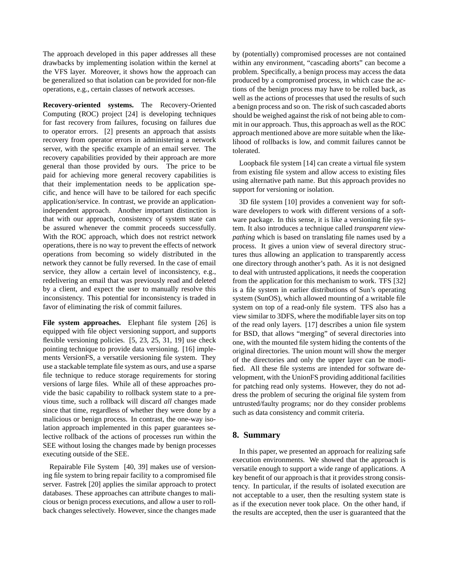The approach developed in this paper addresses all these drawbacks by implementing isolation within the kernel at the VFS layer. Moreover, it shows how the approach can be generalized so that isolation can be provided for non-file operations, e.g., certain classes of network accesses.

**Recovery-oriented systems.** The Recovery-Oriented Computing (ROC) project [24] is developing techniques for fast recovery from failures, focusing on failures due to operator errors. [2] presents an approach that assists recovery from operator errors in administering a network server, with the specific example of an email server. The recovery capabilities provided by their approach are more general than those provided by ours. The price to be paid for achieving more general recovery capabilities is that their implementation needs to be application specific, and hence will have to be tailored for each specific application/service. In contrast, we provide an applicationindependent approach. Another important distinction is that with our approach, consistency of system state can be assured whenever the commit proceeds successfully. With the ROC approach, which does not restrict network operations, there is no way to prevent the effects of network operations from becoming so widely distributed in the network they cannot be fully reversed. In the case of email service, they allow a certain level of inconsistency, e.g., redelivering an email that was previously read and deleted by a client, and expect the user to manually resolve this inconsistency. This potential for inconsistency is traded in favor of eliminating the risk of commit failures.

**File system approaches.** Elephant file system [26] is equipped with file object versioning support, and supports flexible versioning policies. [5, 23, 25, 31, 19] use check pointing technique to provide data versioning. [16] implements VersionFS, a versatile versioning file system. They use a stackable template file system as ours, and use a sparse file technique to reduce storage requirements for storing versions of large files. While all of these approaches provide the basic capability to rollback system state to a previous time, such a rollback will discard *all* changes made since that time, regardless of whether they were done by a malicious or benign process. In contrast, the one-way isolation approach implemented in this paper guarantees selective rollback of the actions of processes run within the SEE without losing the changes made by benign processes executing outside of the SEE.

Repairable File System [40, 39] makes use of versioning file system to bring repair facility to a compromised file server. Fastrek [20] applies the similar approach to protect databases. These approaches can attribute changes to malicious or benign process executions, and allow a user to rollback changes selectively. However, since the changes made by (potentially) compromised processes are not contained within any environment, "cascading aborts" can become a problem. Specifically, a benign process may access the data produced by a compromised process, in which case the actions of the benign process may have to be rolled back, as well as the actions of processes that used the results of such a benign process and so on. The risk of such cascaded aborts should be weighed against the risk of not being able to commit in our approach. Thus, this approach as well as the ROC approach mentioned above are more suitable when the likelihood of rollbacks is low, and commit failures cannot be tolerated.

Loopback file system [14] can create a virtual file system from existing file system and allow access to existing files using alternative path name. But this approach provides no support for versioning or isolation.

3D file system [10] provides a convenient way for software developers to work with different versions of a software package. In this sense, it is like a versioning file system. It also introduces a technique called *transparent viewpathing* which is based on translating file names used by a process. It gives a union view of several directory structures thus allowing an application to transparently access one directory through another's path. As it is not designed to deal with untrusted applications, it needs the cooperation from the application for this mechanism to work. TFS [32] is a file system in earlier distributions of Sun's operating system (SunOS), which allowed mounting of a writable file system on top of a read-only file system. TFS also has a view similar to 3DFS, where the modifiable layer sits on top of the read only layers. [17] describes a union file system for BSD, that allows "merging" of several directories into one, with the mounted file system hiding the contents of the original directories. The union mount will show the merger of the directories and only the upper layer can be modified. All these file systems are intended for software development, with the UnionFS providing additional facilities for patching read only systems. However, they do not address the problem of securing the original file system from untrusted/faulty programs; nor do they consider problems such as data consistency and commit criteria.

## **8. Summary**

In this paper, we presented an approach for realizing safe execution environments. We showed that the approach is versatile enough to support a wide range of applications. A key benefit of our approach is that it provides strong consistency. In particular, if the results of isolated execution are not acceptable to a user, then the resulting system state is as if the execution never took place. On the other hand, if the results are accepted, then the user is guaranteed that the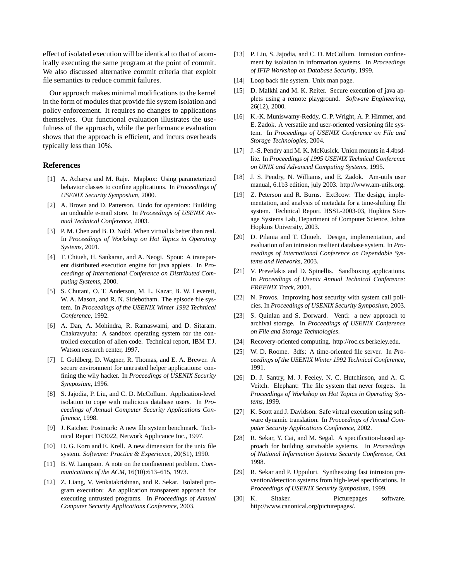effect of isolated execution will be identical to that of atomically executing the same program at the point of commit. We also discussed alternative commit criteria that exploit file semantics to reduce commit failures.

Our approach makes minimal modifications to the kernel in the form of modules that provide file system isolation and policy enforcement. It requires no changes to applications themselves. Our functional evaluation illustrates the usefulness of the approach, while the performance evaluation shows that the approach is efficient, and incurs overheads typically less than 10%.

#### **References**

- [1] A. Acharya and M. Raje. Mapbox: Using parameterized behavior classes to confine applications. In *Proceedings of USENIX Security Symposium*, 2000.
- [2] A. Brown and D. Patterson. Undo for operators: Building an undoable e-mail store. In *Proceedings of USENIX Annual Technical Conference*, 2003.
- [3] P. M. Chen and B. D. Nobl. When virtual is better than real. In *Proceedings of Workshop on Hot Topics in Operating Systems*, 2001.
- [4] T. Chiueh, H. Sankaran, and A. Neogi. Spout: A transparent distributed execution engine for java applets. In *Proceedings of International Conference on Distributed Computing Systems*, 2000.
- [5] S. Chutani, O. T. Anderson, M. L. Kazar, B. W. Leverett, W. A. Mason, and R. N. Sidebotham. The episode file system. In *Proceedings of the USENIX Winter 1992 Technical Conference*, 1992.
- [6] A. Dan, A. Mohindra, R. Ramaswami, and D. Sitaram. Chakravyuha: A sandbox operating system for the controlled execution of alien code. Technical report, IBM T.J. Watson research center, 1997.
- [7] I. Goldberg, D. Wagner, R. Thomas, and E. A. Brewer. A secure environment for untrusted helper applications: confining the wily hacker. In *Proceedings of USENIX Security Symposium*, 1996.
- [8] S. Jajodia, P. Liu, and C. D. McCollum. Application-level isolation to cope with malicious database users. In *Proceedings of Annual Computer Security Applications Conference*, 1998.
- [9] J. Katcher. Postmark: A new file system benchmark. Technical Report TR3022, Network Applicance Inc., 1997.
- [10] D. G. Korn and E. Krell. A new dimension for the unix file system. *Software: Practice & Experience*, 20(S1), 1990.
- [11] B. W. Lampson. A note on the confinement problem. *Communications of the ACM*, 16(10):613–615, 1973.
- [12] Z. Liang, V. Venkatakrishnan, and R. Sekar. Isolated program execution: An application transparent approach for executing untrusted programs. In *Proceedings of Annual Computer Security Applications Conference*, 2003.
- [13] P. Liu, S. Jajodia, and C. D. McCollum. Intrusion confinement by isolation in information systems. In *Proceedings of IFIP Workshop on Database Security*, 1999.
- [14] Loop back file system. Unix man page.
- [15] D. Malkhi and M. K. Reiter. Secure execution of java applets using a remote playground. *Software Engineering*, 26(12), 2000.
- [16] K.-K. Muniswamy-Reddy, C. P. Wright, A. P. Himmer, and E. Zadok. A versatile and user-oriented versioning file system. In *Proceedings of USENIX Conference on File and Storage Technologies*, 2004.
- [17] J.-S. Pendry and M. K. McKusick. Union mounts in 4.4bsdlite. In *Proceedings of 1995 USENIX Technical Conference on UNIX and Advanced Computing Systems*, 1995.
- [18] J. S. Pendry, N. Williams, and E. Zadok. Am-utils user manual, 6.1b3 edition, july 2003. http://www.am-utils.org.
- [19] Z. Peterson and R. Burns. Ext3cow: The design, implementation, and analysis of metadata for a time-shifting file system. Technical Report. HSSL-2003-03, Hopkins Storage Systems Lab, Department of Computer Science, Johns Hopkins University, 2003.
- [20] D. Pilania and T. Chiueh. Design, implementation, and evaluation of an intrusion resilient database system. In *Proceedings of International Conference on Dependable Systems and Networks*, 2003.
- [21] V. Prevelakis and D. Spinellis. Sandboxing applications. In *Proceedings of Usenix Annual Technical Conference: FREENIX Track*, 2001.
- [22] N. Provos. Improving host security with system call policies. In *Proceedings of USENIX Security Symposium*, 2003.
- [23] S. Quinlan and S. Dorward. Venti: a new approach to archival storage. In *Proceedings of USENIX Conference on File and Storage Technologies*.
- [24] Recovery-oriented computing. http://roc.cs.berkeley.edu.
- [25] W. D. Roome. 3dfs: A time-oriented file server. In *Proceedings of the USENIX Winter 1992 Technical Conference*, 1991.
- [26] D. J. Santry, M. J. Feeley, N. C. Hutchinson, and A. C. Veitch. Elephant: The file system that never forgets. In *Proceedings of Workshop on Hot Topics in Operating Systems*, 1999.
- [27] K. Scott and J. Davidson. Safe virtual execution using software dynamic translation. In *Proceedings of Annual Computer Security Applications Conference*, 2002.
- [28] R. Sekar, Y. Cai, and M. Segal. A specification-based approach for building survivable systems. In *Proceedings of National Information Systems Security Conference*, Oct 1998.
- [29] R. Sekar and P. Uppuluri. Synthesizing fast intrusion prevention/detection systems from high-level specifications. In *Proceedings of USENIX Security Symposium*, 1999.
- [30] K. Sitaker. Picturepages software. http://www.canonical.org/picturepages/.